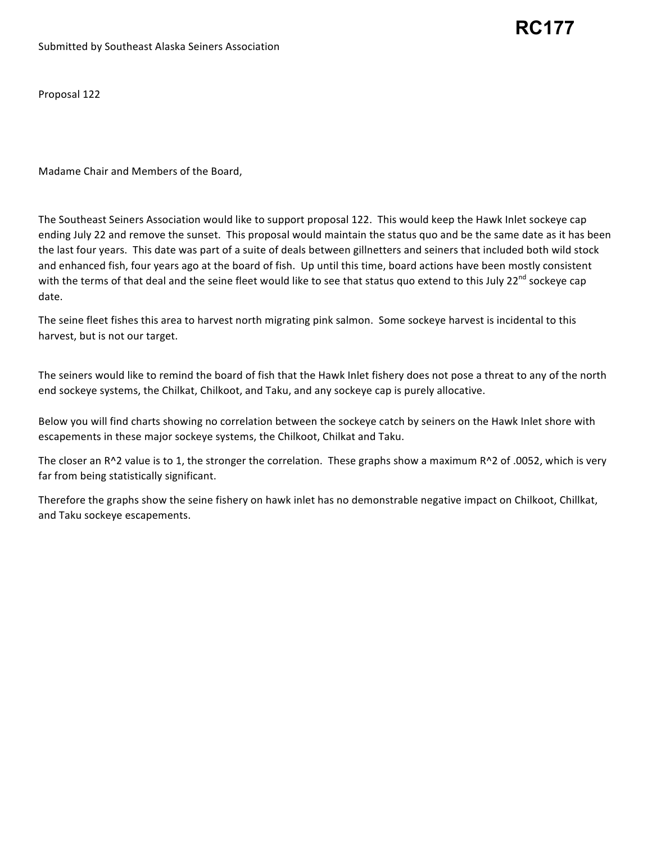## **RC177**

Proposal 122

 Madame Chair and Members of the Board,

The Southeast Seiners Association would like to support proposal 122. This would keep the Hawk Inlet sockeye cap ending July 22 and remove the sunset. This proposal would maintain the status quo and be the same date as it has been the last four years. This date was part of a suite of deals between gillnetters and seiners that included both wild stock and enhanced fish, four years ago at the board of fish. Up until this time, board actions have been mostly consistent with the terms of that deal and the seine fleet would like to see that status quo extend to this July 22<sup>nd</sup> sockeye cap date.

The seine fleet fishes this area to harvest north migrating pink salmon. Some sockeye harvest is incidental to this harvest, but is not our target.

The seiners would like to remind the board of fish that the Hawk Inlet fishery does not pose a threat to any of the north end sockeye systems, the Chilkat, Chilkoot, and Taku, and any sockeye cap is purely allocative.

Below you will find charts showing no correlation between the sockeye catch by seiners on the Hawk Inlet shore with escapements in these major sockeye systems, the Chilkoot, Chilkat and Taku.

The closer an R^2 value is to 1, the stronger the correlation. These graphs show a maximum R^2 of .0052, which is very far from being statistically significant.

Therefore the graphs show the seine fishery on hawk inlet has no demonstrable negative impact on Chilkoot, Chillkat, and Taku sockeye escapements.